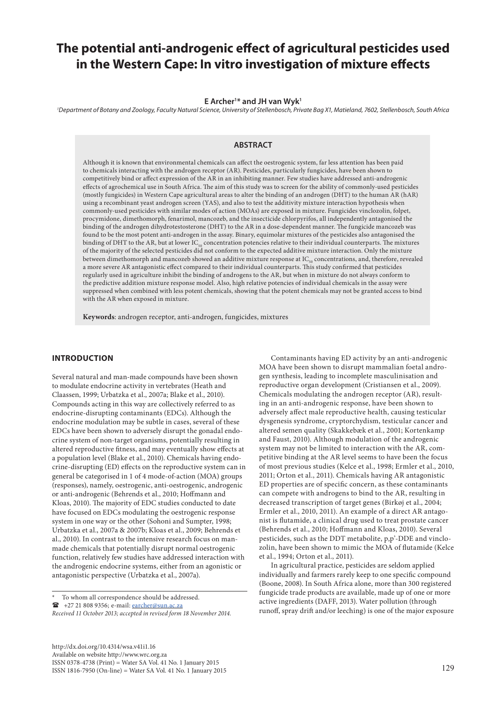# **The potential anti-androgenic effect of agricultural pesticides used in the Western Cape: In vitro investigation of mixture effects**

#### **E Archer1 \* and JH van Wyk1**

*1 Department of Botany and Zoology, Faculty Natural Science, University of Stellenbosch, Private Bag X1, Matieland, 7602, Stellenbosch, South Africa*

## **ABSTRACT**

Although it is known that environmental chemicals can affect the oestrogenic system, far less attention has been paid to chemicals interacting with the androgen receptor (AR). Pesticides, particularly fungicides, have been shown to competitively bind or affect expression of the AR in an inhibiting manner. Few studies have addressed anti-androgenic effects of agrochemical use in South Africa. The aim of this study was to screen for the ability of commonly-used pesticides (mostly fungicides) in Western Cape agricultural areas to alter the binding of an androgen (DHT) to the human AR (hAR) using a recombinant yeast androgen screen (YAS), and also to test the additivity mixture interaction hypothesis when commonly-used pesticides with similar modes of action (MOAs) are exposed in mixture. Fungicides vinclozolin, folpet, procymidone, dimethomorph, fenarimol, mancozeb, and the insecticide chlorpyrifos, all independently antagonised the binding of the androgen dihydrotestosterone (DHT) to the AR in a dose-dependent manner. The fungicide mancozeb was found to be the most potent anti-androgen in the assay. Binary, equimolar mixtures of the pesticides also antagonised the binding of DHT to the AR, but at lower  $IC_{\alpha}$  concentration potencies relative to their individual counterparts. The mixtures of the majority of the selected pesticides did not conform to the expected additive mixture interaction. Only the mixture between dimethomorph and mancozeb showed an additive mixture response at IC<sub>50</sub> concentrations, and, therefore, revealed a more severe AR antagonistic effect compared to their individual counterparts. This study confirmed that pesticides regularly used in agriculture inhibit the binding of androgens to the AR, but when in mixture do not always conform to the predictive addition mixture response model. Also, high relative potencies of individual chemicals in the assay were suppressed when combined with less potent chemicals, showing that the potent chemicals may not be granted access to bind with the AR when exposed in mixture.

**Keywords**: androgen receptor, anti-androgen, fungicides, mixtures

## **INTRODUCTION**

Several natural and man-made compounds have been shown to modulate endocrine activity in vertebrates (Heath and Claassen, 1999; Urbatzka et al., 2007a; Blake et al., 2010). Compounds acting in this way are collectively referred to as endocrine-disrupting contaminants (EDCs). Although the endocrine modulation may be subtle in cases, several of these EDCs have been shown to adversely disrupt the gonadal endocrine system of non-target organisms, potentially resulting in altered reproductive fitness, and may eventually show effects at a population level (Blake et al., 2010). Chemicals having endocrine-disrupting (ED) effects on the reproductive system can in general be categorised in 1 of 4 mode-of-action (MOA) groups (responses), namely, oestrogenic, anti-oestrogenic, androgenic or anti-androgenic (Behrends et al., 2010; Hoffmann and Kloas, 2010). The majority of EDC studies conducted to date have focused on EDCs modulating the oestrogenic response system in one way or the other (Sohoni and Sumpter, 1998; Urbatzka et al., 2007a & 2007b; Kloas et al., 2009; Behrends et al., 2010). In contrast to the intensive research focus on manmade chemicals that potentially disrupt normal oestrogenic function, relatively few studies have addressed interaction with the androgenic endocrine systems, either from an agonistic or antagonistic perspective (Urbatzka et al., 2007a).

Contaminants having ED activity by an anti-androgenic MOA have been shown to disrupt mammalian foetal androgen synthesis, leading to incomplete masculinisation and reproductive organ development (Cristiansen et al., 2009). Chemicals modulating the androgen receptor (AR), resulting in an anti-androgenic response, have been shown to adversely affect male reproductive health, causing testicular dysgenesis syndrome, cryptorchydism, testicular cancer and altered semen quality (Skakkebæk et al., 2001; Kortenkamp and Faust, 2010). Although modulation of the androgenic system may not be limited to interaction with the AR, competitive binding at the AR level seems to have been the focus of most previous studies (Kelce et al., 1998; Ermler et al., 2010, 2011; Orton et al., 2011). Chemicals having AR antagonistic ED properties are of specific concern, as these contaminants can compete with androgens to bind to the AR, resulting in decreased transcription of target genes (Birkøj et al., 2004; Ermler et al., 2010, 2011). An example of a direct AR antagonist is flutamide, a clinical drug used to treat prostate cancer (Behrends et al., 2010; Hoffmann and Kloas, 2010). Several pesticides, such as the DDT metabolite, p,p'-DDE and vinclozolin, have been shown to mimic the MOA of flutamide (Kelce et al., 1994; Orton et al., 2011).

In agricultural practice, pesticides are seldom applied individually and farmers rarely keep to one specific compound (Boone, 2008). In South Africa alone, more than 300 registered fungicide trade products are available, made up of one or more active ingredients ([DAFF,](http://www.nda.agric.za) 2013). Water pollution (through runoff, spray drift and/or leeching) is one of the major exposure

To whom all correspondence should be addressed.

+27 21 808 9356; e-mail: [earcher@sun.ac.za](mailto:earcher@sun.ac.za) 

*Received 11 October 2013; accepted in revised form 18 November 2014.*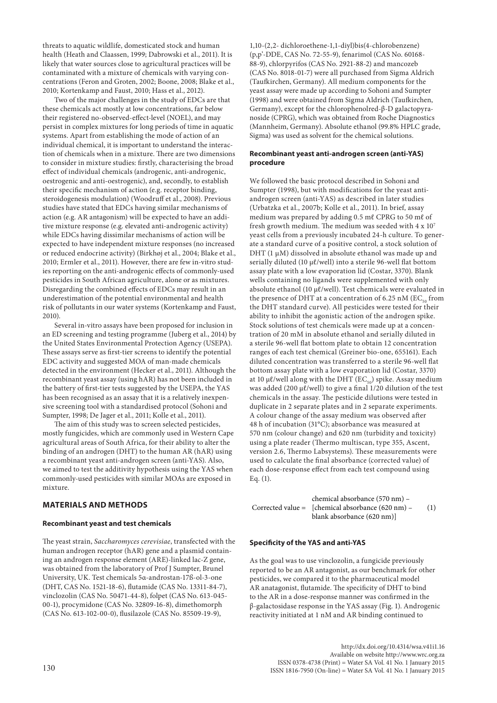threats to aquatic wildlife, domesticated stock and human health (Heath and Claassen, 1999; Dabrowski et al., 2011). It is likely that water sources close to agricultural practices will be contaminated with a mixture of chemicals with varying concentrations (Feron and Groten, 2002; Boone, 2008; Blake et al., 2010; Kortenkamp and Faust, 2010; Hass et al., 2012).

Two of the major challenges in the study of EDCs are that these chemicals act mostly at low concentrations, far below their registered no-observed-effect-level (NOEL), and may persist in complex mixtures for long periods of time in aquatic systems. Apart from establishing the mode of action of an individual chemical, it is important to understand the interaction of chemicals when in a mixture. There are two dimensions to consider in mixture studies: firstly, characterising the broad effect of individual chemicals (androgenic, anti-androgenic, oestrogenic and anti-oestrogenic), and, secondly, to establish their specific mechanism of action (e.g. receptor binding, steroidogenesis modulation) (Woodruff et al., 2008). Previous studies have stated that EDCs having similar mechanisms of action (e.g. AR antagonism) will be expected to have an additive mixture response (e.g. elevated anti-androgenic activity) while EDCs having dissimilar mechanisms of action will be expected to have independent mixture responses (no increased or reduced endocrine activity) (Birkhøj et al., 2004; Blake et al., 2010; Ermler et al., 2011). However, there are few in-vitro studies reporting on the anti-androgenic effects of commonly-used pesticides in South African agriculture, alone or as mixtures. Disregarding the combined effects of EDCs may result in an underestimation of the potential environmental and health risk of pollutants in our water systems (Kortenkamp and Faust, 2010).

Several in-vitro assays have been proposed for inclusion in an ED screening and testing programme (Juberg et al., 2014) by the United States Environmental Protection Agency (USEPA). These assays serve as first-tier screens to identify the potential EDC activity and suggested MOA of man-made chemicals detected in the environment (Hecker et al., 2011). Although the recombinant yeast assay (using hAR) has not been included in the battery of first-tier tests suggested by the USEPA, the YAS has been recognised as an assay that it is a relatively inexpensive screening tool with a standardised protocol (Sohoni and Sumpter, 1998; De Jager et al., 2011; Kolle et al., 2011).

The aim of this study was to screen selected pesticides, mostly fungicides, which are commonly used in Western Cape agricultural areas of South Africa, for their ability to alter the binding of an androgen (DHT) to the human AR (hAR) using a recombinant yeast anti-androgen screen (anti-YAS). Also, we aimed to test the additivity hypothesis using the YAS when commonly-used pesticides with similar MOAs are exposed in mixture.

# **MATERIALS AND METHODS**

#### **Recombinant yeast and test chemicals**

The yeast strain, *Saccharomyces cerevisiae*, transfected with the human androgen receptor (hAR) gene and a plasmid containing an androgen response element (ARE)-linked lac-Z gene, was obtained from the laboratory of Prof J Sumpter, Brunel University, UK. Test chemicals 5α-androstan-17ß-ol-3-one (DHT, CAS No. 1521-18-6), flutamide (CAS No. 13311-84-7), vinclozolin (CAS No. 50471-44-8), folpet (CAS No. 613-045- 00-1), procymidone (CAS No. 32809-16-8), dimethomorph (CAS No. 613-102-00-0), flusilazole (CAS No. 85509-19-9),

1,10-(2,2- dichloroethene-1,1-diyl)bis(4-chlorobenzene) (p,p'-DDE, CAS No. 72-55-9), fenarimol (CAS No. [60168-](http://www.sigmaaldrich.com/catalog/search?term=60168-88-9&interface=CAS%2520No.&lang=en®ion=ZA&focus=product) [88-9](http://www.sigmaaldrich.com/catalog/search?term=60168-88-9&interface=CAS%2520No.&lang=en®ion=ZA&focus=product)), chlorpyrifos (CAS No. [2921-88-2](http://www.sigmaaldrich.com/catalog/search?term=2921-88-2&interface=CAS%2520No.&lang=en®ion=ZA&focus=product)) and mancozeb (CAS No. 8018-01-7) were all purchased from Sigma Aldrich (Taufkirchen, Germany). All medium components for the yeast assay were made up according to Sohoni and Sumpter (1998) and were obtained from Sigma Aldrich (Taufkirchen, Germany), except for the chlorophenolred-β-D galactopyranoside (CPRG), which was obtained from Roche Diagnostics (Mannheim, Germany). Absolute ethanol (99.8% HPLC grade, Sigma) was used as solvent for the chemical solutions.

## **Recombinant yeast anti-androgen screen (anti-YAS) procedure**

We followed the basic protocol described in Sohoni and Sumpter (1998), but with modifications for the yeast antiandrogen screen (anti-YAS) as described in later studies (Urbatzka et al., 2007b; Kolle et al., 2011). In brief, assay medium was prepared by adding 0.5 mℓ CPRG to 50 mℓ of fresh growth medium. The medium was seeded with  $4 \times 10^7$ yeast cells from a previously incubated 24-h culture. To generate a standard curve of a positive control, a stock solution of DHT (1  $\mu$ M) dissolved in absolute ethanol was made up and serially diluted (10 µℓ/well) into a sterile 96-well flat bottom assay plate with a low evaporation lid (Costar, 3370). Blank wells containing no ligands were supplemented with only absolute ethanol (10 µℓ/well). Test chemicals were evaluated in the presence of DHT at a concentration of  $6.25 \text{ nM}$  (EC<sub>50</sub> from the DHT standard curve). All pesticides were tested for their ability to inhibit the agonistic action of the androgen spike. Stock solutions of test chemicals were made up at a concentration of 20 mM in absolute ethanol and serially diluted in a sterile 96-well flat bottom plate to obtain 12 concentration ranges of each test chemical (Greiner bio-one, 655161). Each diluted concentration was transferred to a sterile 96-well flat bottom assay plate with a low evaporation lid (Costar, 3370) at 10 μℓ/well along with the DHT ( $EC_{50}$ ) spike. Assay medium was added (200 µℓ/well) to give a final 1/20 dilution of the test chemicals in the assay. The pesticide dilutions were tested in duplicate in 2 separate plates and in 2 separate experiments. A colour change of the assay medium was observed after 48 h of incubation (31°C); absorbance was measured at 570 nm (colour change) and 620 nm (turbidity and toxicity) using a plate reader (Thermo multiscan, type 355, Ascent, version 2.6, Thermo Labsystems). These measurements were used to calculate the final absorbance (corrected value) of each dose-response effect from each test compound using Eq. (1).

Corrected value = chemical absorbance (570 nm) – [chemical absorbance (620 nm) – blank absorbance (620 nm)] (1)

## **Specificity of the YAS and anti-YAS**

As the goal was to use vinclozolin, a fungicide previously reported to be an AR antagonist, as our benchmark for other pesticides, we compared it to the pharmaceutical model AR anatagonist, flutamide. The specificity of DHT to bind to the AR in a dose-response manner was confirmed in the β-galactosidase response in the YAS assay (Fig. 1). Androgenic reactivity initiated at 1 nM and AR binding continued to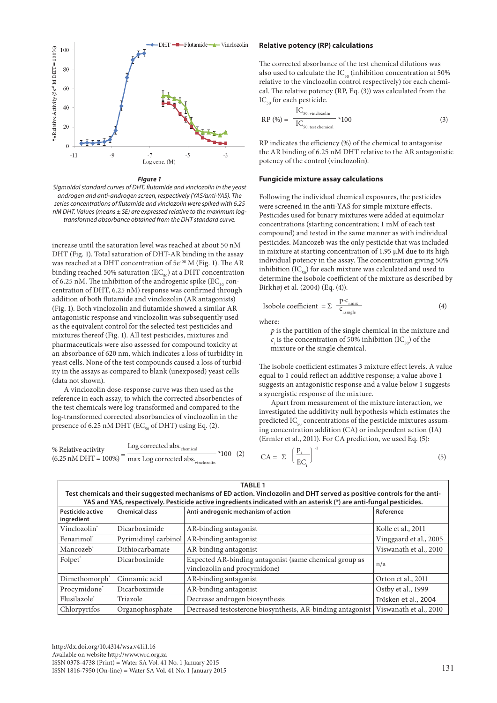

*Figure 1*

*Sigmoidal standard curves of DHT, flutamide and vinclozolin in the yeast androgen and anti-androgen screen, respectively (YAS/anti-YAS). The series concentrations of flutamide and vinclozolin were spiked with 6.25 nM DHT. Values (means ± SE) are expressed relative to the maximum logtransformed absorbance obtained from the DHT standard curve.* 

increase until the saturation level was reached at about 50 nM DHT (Fig. 1). Total saturation of DHT-AR binding in the assay was reached at a DHT concentration of 5e<sup>-08</sup> M (Fig. 1). The AR binding reached 50% saturation ( $EC_{50}$ ) at a DHT concentration of 6.25 nM. The inhibition of the androgenic spike ( $EC_{50}$  concentration of DHT, 6.25 nM) response was confirmed through addition of both flutamide and vinclozolin (AR antagonists) (Fig. 1). Both vinclozolin and flutamide showed a similar AR antagonistic response and vinclozolin was subsequently used as the equivalent control for the selected test pesticides and mixtures thereof (Fig. 1). All test pesticides, mixtures and pharmaceuticals were also assessed for compound toxicity at an absorbance of 620 nm, which indicates a loss of turbidity in yeast cells. None of the test compounds caused a loss of turbidity in the assays as compared to blank (unexposed) yeast cells (data not shown).

A vinclozolin dose-response curve was then used as the reference in each assay, to which the corrected absorbencies of the test chemicals were log-transformed and compared to the log-transformed corrected absorbancies of vinclozolin in the presence of 6.25 nM DHT ( $EC_{50}$  of DHT) using Eq. (2).

% Relative activity 
$$
\frac{\text{Log corrected abs.}_{\text{chemical}}}{\text{max Log corrected abs.}_{\text{virological}}} \times 100 (2)
$$

#### **Relative potency (RP) calculations**

The corrected absorbance of the test chemical dilutions was also used to calculate the  $IC_{50}$  (inhibition concentration at 50%) relative to the vinclozolin control respectively) for each chemical. The relative potency (RP, Eq. (3)) was calculated from the  $IC_{50}$  for each pesticide.

$$
RP\ (\%) = \frac{IC_{50, \text{ vinclocalin}}}{IC_{50, \text{ test chemical}}} \times 100 \tag{3}
$$

RP indicates the efficiency (%) of the chemical to antagonise the AR binding of 6.25 nM DHT relative to the AR antagonistic potency of the control (vinclozolin).

#### **Fungicide mixture assay calculations**

Following the individual chemical exposures, the pesticides were screened in the anti-YAS for simple mixture effects. Pesticides used for binary mixtures were added at equimolar concentrations (starting concentration; 1 mM of each test compound) and tested in the same manner as with individual pesticides. Mancozeb was the only pesticide that was included in mixture at starting concentration of 1.95 µM due to its high individual potency in the assay. The concentration giving 50% inhibition  $(IC_{50})$  for each mixture was calculated and used to determine the isobole coefficient of the mixture as described by Birkhøj et al. (2004) (Eq. (4)).

Isobole coefficient = 
$$
\Sigma \frac{P \cdot c_{i,\text{mix}}}{c_{i,\text{single}}}
$$
 (4)

where:

*p* is the partition of the single chemical in the mixture and *c* is the concentration of 50% inhibition (IC<sub>50</sub>) of the mixture or the single chemical.

The isobole coefficient estimates 3 mixture effect levels. A value equal to 1 could reflect an additive response; a value above 1 suggests an antagonistic response and a value below 1 suggests a synergistic response of the mixture.

Apart from measurement of the mixture interaction, we investigated the additivity null hypothesis which estimates the predicted  $IC_{50}$  concentrations of the pesticide mixtures assuming concentration addition (CA) or independent action (IA) (Ermler et al., 2011). For CA prediction, we used Eq. (5):

$$
CA = \Sigma \left[\frac{P_i}{EC_i}\right]^{-1} \tag{5}
$$

| <b>TABLE 1</b>                                                                                                            |                       |                                                            |                        |  |  |  |  |  |  |  |
|---------------------------------------------------------------------------------------------------------------------------|-----------------------|------------------------------------------------------------|------------------------|--|--|--|--|--|--|--|
| Test chemicals and their suggested mechanisms of ED action. Vinclozolin and DHT served as positive controls for the anti- |                       |                                                            |                        |  |  |  |  |  |  |  |
| YAS and YAS, respectively. Pesticide active ingredients indicated with an asterisk (*) are anti-fungal pesticides.        |                       |                                                            |                        |  |  |  |  |  |  |  |
| Pesticide active                                                                                                          | <b>Chemical class</b> | Anti-androgenic mechanism of action                        | Reference              |  |  |  |  |  |  |  |
| ingredient                                                                                                                |                       |                                                            |                        |  |  |  |  |  |  |  |
| Vinclozolin <sup>*</sup>                                                                                                  | Dicarboximide         | AR-binding antagonist                                      | Kolle et al., 2011     |  |  |  |  |  |  |  |
| Fenarimol <sup>*</sup>                                                                                                    | Pyrimidinyl carbinol  | AR-binding antagonist                                      | Vinggaard et al., 2005 |  |  |  |  |  |  |  |
| Mancozeb <sup>*</sup>                                                                                                     | Dithiocarbamate       | AR-binding antagonist                                      | Viswanath et al., 2010 |  |  |  |  |  |  |  |
| Folpet <sup>*</sup>                                                                                                       | Dicarboximide         | Expected AR-binding antagonist (same chemical group as     | n/a                    |  |  |  |  |  |  |  |
|                                                                                                                           |                       | vinclozolin and procymidone)                               |                        |  |  |  |  |  |  |  |
| Dimethomorph <sup>*</sup>                                                                                                 | Cinnamic acid         | AR-binding antagonist                                      | Orton et al., 2011     |  |  |  |  |  |  |  |
| Procymidone <sup>*</sup>                                                                                                  | Dicarboximide         | AR-binding antagonist                                      | Ostby et al., 1999     |  |  |  |  |  |  |  |
| Flusilazole <sup>*</sup>                                                                                                  | Triazole              | Decrease androgen biosynthesis                             | Trösken et al., 2004   |  |  |  |  |  |  |  |
| Chlorpyrifos                                                                                                              | Organophosphate       | Decreased testosterone biosynthesis, AR-binding antagonist | Viswanath et al., 2010 |  |  |  |  |  |  |  |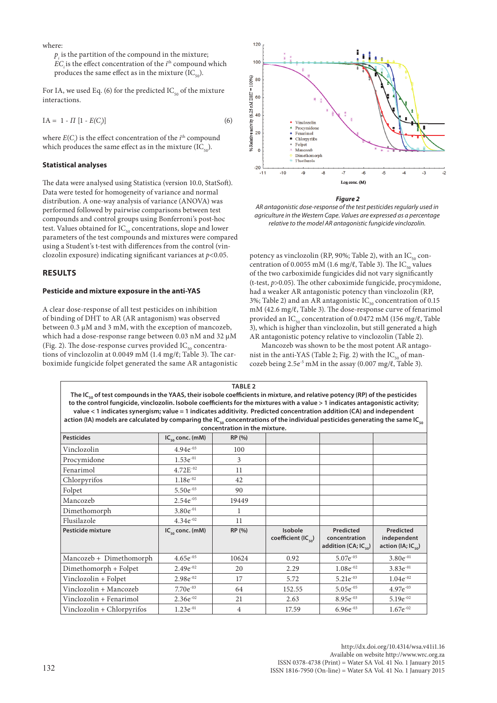where:

 $p_i$  is the partition of the compound in the mixture;  $EC<sub>i</sub>$  is the effect concentration of the *i*<sup>th</sup> compound which produces the same effect as in the mixture  $(IC_{50})$ .

For IA, we used Eq. (6) for the predicted  $IC_{50}$  of the mixture interactions.

$$
IA = 1 - \Pi \left[ 1 - E(C_j) \right] \tag{6}
$$

where  $E(C_i)$  is the effect concentration of the  $i^{\text{th}}$  compound which produces the same effect as in the mixture  $(IC_{50})$ .

# **Statistical analyses**

The data were analysed using Statistica (version 10.0, StatSoft). Data were tested for homogeneity of variance and normal distribution. A one-way analysis of variance (ANOVA) was performed followed by pairwise comparisons between test compounds and control groups using Bonferroni's post-hoc test. Values obtained for  $IC_{50}$  concentrations, slope and lower parameters of the test compounds and mixtures were compared using a Student's t-test with differences from the control (vinclozolin exposure) indicating significant variances at *p<*0.05.

# **RESULTS**

# **Pesticide and mixture exposure in the anti-YAS**

A clear dose-response of all test pesticides on inhibition of binding of DHT to AR (AR antagonism) was observed between 0.3 µM and 3 mM, with the exception of mancozeb, which had a dose-response range between 0.03 nM and 32 µM (Fig. 2). The dose-response curves provided  $IC_{50}$  concentrations of vinclozolin at 0.0049 mM (1.4 mg/ℓ; Table 3). The carboximide fungicide folpet generated the same AR antagonistic



### *Figure 2*

*AR antagonistic dose-response of the test pesticides regularly used in agriculture in the Western Cape. Values are expressed as a percentage relative to the model AR antagonistic fungicide vinclozolin.* 

potency as vinclozolin (RP, 90%; Table 2), with an  $IC_{50}$  concentration of 0.0055 mM (1.6 mg/ $\ell$ , Table 3). The IC<sub>50</sub> values of the two carboximide fungicides did not vary significantly (t-test, *p*>0.05). The other caboximide fungicide, procymidone, had a weaker AR antagonistic potency than vinclozolin (RP, 3%; Table 2) and an AR antagonistic IC<sub>50</sub> concentration of 0.15 mM (42.6 mg/ℓ, Table 3). The dose-response curve of fenarimol provided an IC<sub>50</sub> concentration of 0.0472 mM (156 mg/ℓ, Table 3), which is higher than vinclozolin, but still generated a high AR antagonistic potency relative to vinclozolin (Table 2).

Mancozeb was shown to be the most potent AR antagonist in the anti-YAS (Table 2; Fig. 2) with the  $IC_{50}$  of mancozeb being 2.5e<sup>-5</sup> mM in the assay (0.007 mg/ℓ, Table 3).

| TABLE <sub>2</sub><br>The IC <sub>co</sub> of test compounds in the YAAS, their isobole coefficients in mixture, and relative potency (RP) of the pesticides<br>to the control fungicide, vinclozolin. Isobole coefficients for the mixtures with a value > 1 indicates antagonistic activity;<br>value < 1 indicates synergism; value = 1 indicates additivity. Predicted concentration addition (CA) and independent<br>action (IA) models are calculated by comparing the IC <sub>so</sub> concentrations of the individual pesticides generating the same IC <sub>so</sub><br>concentration in the mixture. |                          |        |                                            |                                                                 |                                                     |  |  |  |  |
|-----------------------------------------------------------------------------------------------------------------------------------------------------------------------------------------------------------------------------------------------------------------------------------------------------------------------------------------------------------------------------------------------------------------------------------------------------------------------------------------------------------------------------------------------------------------------------------------------------------------|--------------------------|--------|--------------------------------------------|-----------------------------------------------------------------|-----------------------------------------------------|--|--|--|--|
| <b>Pesticides</b>                                                                                                                                                                                                                                                                                                                                                                                                                                                                                                                                                                                               | $IC_{\rm so}$ conc. (mM) | RP (%) |                                            |                                                                 |                                                     |  |  |  |  |
| Vinclozolin                                                                                                                                                                                                                                                                                                                                                                                                                                                                                                                                                                                                     | $4.94e^{-03}$            | 100    |                                            |                                                                 |                                                     |  |  |  |  |
| Procymidone                                                                                                                                                                                                                                                                                                                                                                                                                                                                                                                                                                                                     | $1.53e^{-01}$            | 3      |                                            |                                                                 |                                                     |  |  |  |  |
| Fenarimol                                                                                                                                                                                                                                                                                                                                                                                                                                                                                                                                                                                                       | $4.72E^{-02}$            | 11     |                                            |                                                                 |                                                     |  |  |  |  |
| Chlorpyrifos                                                                                                                                                                                                                                                                                                                                                                                                                                                                                                                                                                                                    | $1.18e^{-02}$            | 42     |                                            |                                                                 |                                                     |  |  |  |  |
| Folpet                                                                                                                                                                                                                                                                                                                                                                                                                                                                                                                                                                                                          | $5.50e^{-03}$            | 90     |                                            |                                                                 |                                                     |  |  |  |  |
| Mancozeb                                                                                                                                                                                                                                                                                                                                                                                                                                                                                                                                                                                                        | $2.54e^{-05}$            | 19449  |                                            |                                                                 |                                                     |  |  |  |  |
| Dimethomorph                                                                                                                                                                                                                                                                                                                                                                                                                                                                                                                                                                                                    | $3.80e^{-01}$            | 1      |                                            |                                                                 |                                                     |  |  |  |  |
| Flusilazole                                                                                                                                                                                                                                                                                                                                                                                                                                                                                                                                                                                                     | $4.34e^{-02}$            | 11     |                                            |                                                                 |                                                     |  |  |  |  |
| Pesticide mixture                                                                                                                                                                                                                                                                                                                                                                                                                                                                                                                                                                                               | $IC_{\rm so}$ conc. (mM) | RP (%) | Isobole<br>coefficient $(IC_{\epsilon_0})$ | Predicted<br>concentration<br>addition (CA; $IC_{\epsilon_0}$ ) | Predicted<br>independent<br>action (IA; $IC_{50}$ ) |  |  |  |  |
| Mancozeb + Dimethomorph                                                                                                                                                                                                                                                                                                                                                                                                                                                                                                                                                                                         | $4.65e^{-05}$            | 10624  | 0.92                                       | $5.07e^{-05}$                                                   | $3.80e^{-01}$                                       |  |  |  |  |
| Dimethomorph + Folpet                                                                                                                                                                                                                                                                                                                                                                                                                                                                                                                                                                                           | $2.49e^{-02}$            | 20     | 2.29                                       | $1.08e^{-02}$                                                   | $3.83e^{-01}$                                       |  |  |  |  |
| Vinclozolin + Folpet                                                                                                                                                                                                                                                                                                                                                                                                                                                                                                                                                                                            | $2.98e^{-02}$            | 17     | 5.72                                       | $5.21e^{-03}$                                                   | $1.04e^{-02}$                                       |  |  |  |  |
| Vinclozolin + Mancozeb                                                                                                                                                                                                                                                                                                                                                                                                                                                                                                                                                                                          | $7.70e^{-03}$            | 64     | 152.55                                     | $5.05e^{-05}$                                                   | $4.97e^{-03}$                                       |  |  |  |  |
| Vinclozolin + Fenarimol                                                                                                                                                                                                                                                                                                                                                                                                                                                                                                                                                                                         | $2.36e^{-02}$            | 21     | 2.63                                       | $8.95e^{-03}$                                                   | $5.19e^{-02}$                                       |  |  |  |  |
| Vinclozolin + Chlorpyrifos                                                                                                                                                                                                                                                                                                                                                                                                                                                                                                                                                                                      | $1.23e^{-01}$            | 4      | 17.59                                      | $6.96e^{-03}$                                                   | $1.67e^{-02}$                                       |  |  |  |  |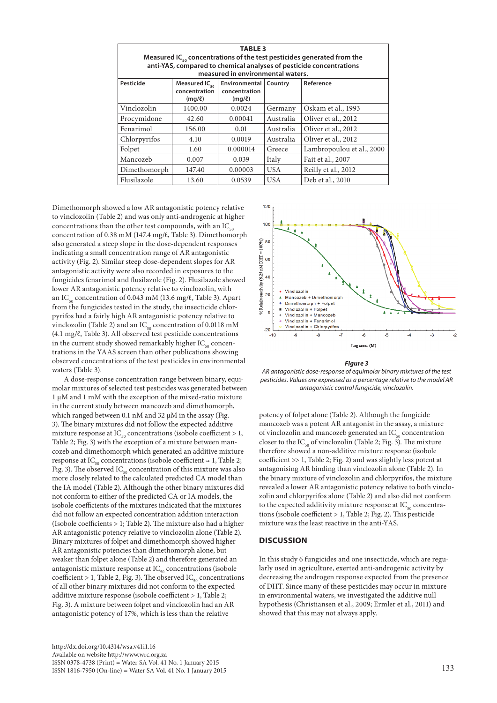| <b>TABLE 3</b><br>Measured IC <sub>50</sub> concentrations of the test pesticides generated from the<br>anti-YAS, compared to chemical analyses of pesticide concentrations<br>measured in environmental waters. |                                                      |                                               |            |                           |  |  |  |  |  |
|------------------------------------------------------------------------------------------------------------------------------------------------------------------------------------------------------------------|------------------------------------------------------|-----------------------------------------------|------------|---------------------------|--|--|--|--|--|
| Pesticide                                                                                                                                                                                                        | Measured IC <sub>50</sub><br>concentration<br>(mq/l) | Environmental<br>concentration<br>$(mq/\ell)$ | Country    | Reference                 |  |  |  |  |  |
| Vinclozolin                                                                                                                                                                                                      | 1400.00                                              | 0.0024                                        | Germany    | Oskam et al., 1993        |  |  |  |  |  |
| Procymidone                                                                                                                                                                                                      | 42.60                                                | 0.00041                                       | Australia  | Oliver et al., 2012       |  |  |  |  |  |
| Fenarimol                                                                                                                                                                                                        | 156.00                                               | 0.01                                          | Australia  | Oliver et al., 2012       |  |  |  |  |  |
| Chlorpyrifos                                                                                                                                                                                                     | 4.10                                                 | 0.0019                                        | Australia  | Oliver et al., 2012       |  |  |  |  |  |
| Folpet                                                                                                                                                                                                           | 1.60                                                 | 0.000014                                      | Greece     | Lambropoulou et al., 2000 |  |  |  |  |  |
| Mancozeb                                                                                                                                                                                                         | 0.007                                                | 0.039                                         | Italy      | Fait et al., 2007         |  |  |  |  |  |
| Dimethomorph                                                                                                                                                                                                     | 147.40                                               | 0.00003                                       | <b>USA</b> | Reilly et al., 2012       |  |  |  |  |  |
| Flusilazole                                                                                                                                                                                                      | 13.60                                                | 0.0539                                        | <b>USA</b> | Deb et al., 2010          |  |  |  |  |  |

Dimethomorph showed a low AR antagonistic potency relative to vinclozolin (Table 2) and was only anti-androgenic at higher concentrations than the other test compounds, with an  $IC_{50}$ concentration of 0.38 mM (147.4 mg/ℓ, Table 3). Dimethomorph also generated a steep slope in the dose-dependent responses indicating a small concentration range of AR antagonistic activity (Fig. 2). Similar steep dose-dependent slopes for AR antagonistic activity were also recorded in exposures to the fungicides fenarimol and flusilazole (Fig. 2). Flusilazole showed lower AR antagonistic potency relative to vinclozolin, with an IC<sub>50</sub> concentration of 0.043 mM (13.6 mg/ℓ, Table 3). Apart from the fungicides tested in the study, the insecticide chlorpyrifos had a fairly high AR antagonistic potency relative to vinclozolin (Table 2) and an  $IC_{50}$  concentration of 0.0118 mM (4.1 mg/ℓ, Table 3). All observed test pesticide concentrations in the current study showed remarkably higher  $IC_{50}$  concentrations in the YAAS screen than other publications showing observed concentrations of the test pesticides in environmental waters (Table 3).

A dose-response concentration range between binary, equimolar mixtures of selected test pesticides was generated between 1 µM and 1 mM with the exception of the mixed-ratio mixture in the current study between mancozeb and dimethomorph, which ranged between 0.1 nM and 32 µM in the assay (Fig. 3). The binary mixtures did not follow the expected additive mixture response at  $IC_{50}$  concentrations (isobole coefficient > 1, Table 2; Fig. 3) with the exception of a mixture between mancozeb and dimethomorph which generated an additive mixture response at IC<sub>50</sub> concentrations (isobole coefficient  $\approx$  1, Table 2; Fig. 3). The observed  $IC_{50}$  concentration of this mixture was also more closely related to the calculated predicted CA model than the IA model (Table 2). Although the other binary mixtures did not conform to either of the predicted CA or IA models, the isobole coefficients of the mixtures indicated that the mixtures did not follow an expected concentration addition interaction (Isobole coefficients > 1; Table 2). The mixture also had a higher AR antagonistic potency relative to vinclozolin alone (Table 2). Binary mixtures of folpet and dimethomorph showed higher AR antagonistic potencies than dimethomorph alone, but weaker than folpet alone (Table 2) and therefore generated an antagonistic mixture response at  $\text{IC}_{\varsigma_0}$  concentrations (isobole coefficient > 1, Table 2, Fig. 3). The observed  $IC_{50}$  concentrations of all other binary mixtures did not conform to the expected additive mixture response (isobole coefficient > 1, Table 2; Fig. 3). A mixture between folpet and vinclozolin had an AR antagonistic potency of 17%, which is less than the relative



#### *Figure 3*

*AR antagonistic dose-response of equimolar binary mixtures of the test pesticides. Values are expressed as a percentage relative to the model AR antagonistic control fungicide, vinclozolin.* 

potency of folpet alone (Table 2). Although the fungicide mancozeb was a potent AR antagonist in the assay, a mixture of vinclozolin and mancozeb generated an  $IC_{50}$  concentration closer to the IC<sub>50</sub> of vinclozolin (Table 2; Fig. 3). The mixture therefore showed a non-additive mixture response (isobole coefficient >> 1, Table 2; Fig. 2) and was slightly less potent at antagonising AR binding than vinclozolin alone (Table 2). In the binary mixture of vinclozolin and chlorpyrifos, the mixture revealed a lower AR antagonistic potency relative to both vinclozolin and chlorpyrifos alone (Table 2) and also did not conform to the expected additivity mixture response at  $\mathrm{IC}_\mathrm{50}$  concentrations (isobole coefficient > 1, Table 2; Fig. 2). This pesticide mixture was the least reactive in the anti-YAS.

## **DISCUSSION**

In this study 6 fungicides and one insecticide, which are regularly used in agriculture, exerted anti-androgenic activity by decreasing the androgen response expected from the presence of DHT. Since many of these pesticides may occur in mixture in environmental waters, we investigated the additive null hypothesis (Christiansen et al., 2009; Ermler et al., 2011) and showed that this may not always apply.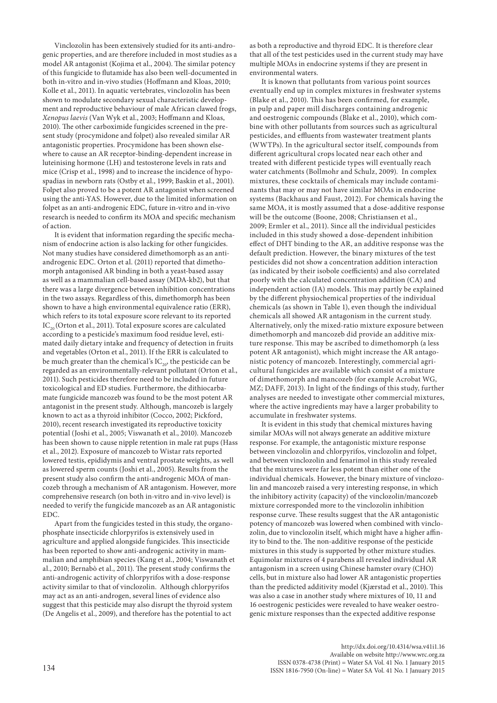Vinclozolin has been extensively studied for its anti-androgenic properties, and are therefore included in most studies as a model AR antagonist (Kojima et al., 2004). The similar potency of this fungicide to flutamide has also been well-documented in both in-vitro and in-vivo studies (Hoffmann and Kloas, 2010; Kolle et al., 2011). In aquatic vertebrates, vinclozolin has been shown to modulate secondary sexual characteristic development and reproductive behaviour of male African clawed frogs, *Xenopus laevis* (Van Wyk et al., 2003; Hoffmann and Kloas, 2010). The other carboximide fungicides screened in the present study (procymidone and folpet) also revealed similar AR antagonistic properties. Procymidone has been shown elsewhere to cause an AR receptor-binding-dependent increase in luteinising hormone (LH) and testosterone levels in rats and mice (Crisp et al., 1998) and to increase the incidence of hypospadias in newborn rats (Ostby et al., 1999; Baskin et al., 2001). Folpet also proved to be a potent AR antagonist when screened using the anti-YAS. However, due to the limited information on folpet as an anti-androgenic EDC, future in-vitro and in-vivo research is needed to confirm its MOA and specific mechanism of action.

It is evident that information regarding the specific mechanism of endocrine action is also lacking for other fungicides. Not many studies have considered dimethomorph as an antiandrogenic EDC. Orton et al. (2011) reported that dimethomorph antagonised AR binding in both a yeast-based assay as well as a mammalian cell-based assay (MDA-kb2), but that there was a large divergence between inhibition concentrations in the two assays. Regardless of this, dimethomorph has been shown to have a high environmental equivalence ratio (ERR), which refers to its total exposure score relevant to its reported IC<sub>20</sub> (Orton et al., 2011). Total exposure scores are calculated according to a pesticide's maximum food residue level, estimated daily dietary intake and frequency of detection in fruits and vegetables (Orton et al., 2011). If the ERR is calculated to be much greater than the chemical's  $IC_{20}$ , the pesticide can be regarded as an environmentally-relevant pollutant (Orton et al., 2011). Such pesticides therefore need to be included in future toxicological and ED studies. Furthermore, the dithiocarbamate fungicide mancozeb was found to be the most potent AR antagonist in the present study. Although, mancozeb is largely known to act as a thyroid inhibitor (Cocco, 2002; Pickford, 2010), recent research investigated its reproductive toxicity potential (Joshi et al., 2005; Viswanath et al., 2010). Mancozeb has been shown to cause nipple retention in male rat pups (Hass et al., 2012). Exposure of mancozeb to Wistar rats reported lowered testis, epididymis and ventral prostate weights, as well as lowered sperm counts (Joshi et al., 2005). Results from the present study also confirm the anti-androgenic MOA of mancozeb through a mechanism of AR antagonism. However, more comprehensive research (on both in-vitro and in-vivo level) is needed to verify the fungicide mancozeb as an AR antagonistic EDC.

Apart from the fungicides tested in this study, the organophosphate insecticide chlorpyrifos is extensively used in agriculture and applied alongside fungicides. This insecticide has been reported to show anti-androgenic activity in mammalian and amphibian species (Kang et al., 2004; Viswanath et al., 2010; Bernabò et al., 2011). The present study confirms the anti-androgenic activity of chlorpyrifos with a dose-response activity similar to that of vinclozolin. Although chlorpyrifos may act as an anti-androgen, several lines of evidence also suggest that this pesticide may also disrupt the thyroid system (De Angelis et al., 2009), and therefore has the potential to act

as both a reproductive and thyroid EDC. It is therefore clear that all of the test pesticides used in the current study may have multiple MOAs in endocrine systems if they are present in environmental waters.

It is known that pollutants from various point sources eventually end up in complex mixtures in freshwater systems (Blake et al., 2010). This has been confirmed, for example, in pulp and paper mill discharges containing androgenic and oestrogenic compounds (Blake et al., 2010), which combine with other pollutants from sources such as agricultural pesticides, and effluents from wastewater treatment plants (WWTPs). In the agricultural sector itself, compounds from different agricultural crops located near each other and treated with different pesticide types will eventually reach water catchments (Bollmohr and Schulz, 2009). In complex mixtures, these cocktails of chemicals may include contaminants that may or may not have similar MOAs in endocrine systems (Backhaus and Faust, 2012). For chemicals having the same MOA, it is mostly assumed that a dose-additive response will be the outcome (Boone, 2008; Christiansen et al., 2009; Ermler et al., 2011). Since all the individual pesticides included in this study showed a dose-dependent inhibition effect of DHT binding to the AR, an additive response was the default prediction. However, the binary mixtures of the test pesticides did not show a concentration addition interaction (as indicated by their isobole coefficients) and also correlated poorly with the calculated concentration addition (CA) and independent action (IA) models. This may partly be explained by the different physiochemical properties of the individual chemicals (as shown in Table 1), even though the individual chemicals all showed AR antagonism in the current study. Alternatively, only the mixed-ratio mixture exposure between dimethomorph and mancozeb did provide an additive mixture response. This may be ascribed to dimethomorph (a less potent AR antagonist), which might increase the AR antagonistic potency of mancozeb. Interestingly, commercial agricultural fungicides are available which consist of a mixture of dimethomorph and mancozeb (for example Acrobat WG, MZ; [DAFF,](http://www.nda.agric.za) 2013). In light of the findings of this study, further analyses are needed to investigate other commercial mixtures, where the active ingredients may have a larger probability to accumulate in freshwater systems.

It is evident in this study that chemical mixtures having similar MOAs will not always generate an additive mixture response. For example, the antagonistic mixture response between vinclozolin and chlorpyrifos, vinclozolin and folpet, and between vinclozolin and fenarimol in this study revealed that the mixtures were far less potent than either one of the individual chemicals. However, the binary mixture of vinclozolin and mancozeb raised a very interesting response, in which the inhibitory activity (capacity) of the vinclozolin/mancozeb mixture corresponded more to the vinclozolin inhibition response curve. These results suggest that the AR antagonistic potency of mancozeb was lowered when combined with vinclozolin, due to vinclozolin itself, which might have a higher affinity to bind to the. The non-additive response of the pesticide mixtures in this study is supported by other mixture studies. Equimolar mixtures of 4 parabens all revealed individual AR antagonism in a screen using Chinese hamster ovary (CHO) cells, but in mixture also had lower AR antagonistic properties than the predicted additivity model (Kjærstad et al., 2010). This was also a case in another study where mixtures of 10, 11 and 16 oestrogenic pesticides were revealed to have weaker oestrogenic mixture responses than the expected additive response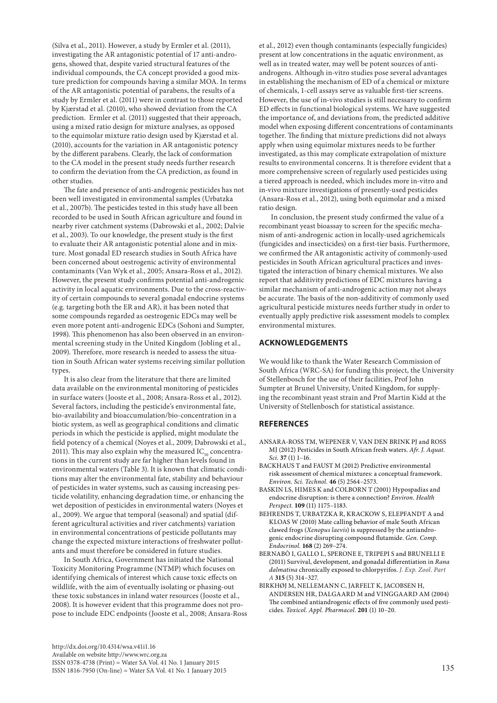(Silva et al., 2011). However, a study by Ermler et al. (2011), investigating the AR antagonistic potential of 17 anti-androgens, showed that, despite varied structural features of the individual compounds, the CA concept provided a good mixture prediction for compounds having a similar MOA. In terms of the AR antagonistic potential of parabens, the results of a study by Ermler et al. (2011) were in contrast to those reported by Kjærstad et al. (2010), who showed deviation from the CA prediction. Ermler et al. (2011) suggested that their approach, using a mixed ratio design for mixture analyses, as opposed to the equimolar mixture ratio design used by Kjærstad et al. (2010), accounts for the variation in AR antagonistic potency by the different parabens. Clearly, the lack of conformation to the CA model in the present study needs further research to confirm the deviation from the CA prediction, as found in other studies.

The fate and presence of anti-androgenic pesticides has not been well investigated in environmental samples (Urbatzka et al., 2007b). The pesticides tested in this study have all been recorded to be used in South African agriculture and found in nearby river catchment systems (Dabrowski et al., 2002; Dalvie et al., 2003). To our knowledge, the present study is the first to evaluate their AR antagonistic potential alone and in mixture. Most gonadal ED research studies in South Africa have been concerned about oestrogenic activity of environmental contaminants (Van Wyk et al., 2005; Ansara-Ross et al., 2012). However, the present study confirms potential anti-androgenic activity in local aquatic environments. Due to the cross-reactivity of certain compounds to several gonadal endocrine systems (e.g. targeting both the ER and AR), it has been noted that some compounds regarded as oestrogenic EDCs may well be even more potent anti-androgenic EDCs (Sohoni and Sumpter, 1998). This phenomenon has also been observed in an environmental screening study in the United Kingdom (Jobling et al., 2009). Therefore, more research is needed to assess the situation in South African water systems receiving similar pollution types.

It is also clear from the literature that there are limited data available on the environmental monitoring of pesticides in surface waters (Jooste et al., 2008; Ansara-Ross et al., 2012). Several factors, including the pesticide's environmental fate, bio-availability and bioaccumulation/bio-concentration in a biotic system, as well as geographical conditions and climatic periods in which the pesticide is applied, might modulate the field potency of a chemical (Noyes et al., 2009; Dabrowski et al., 2011). This may also explain why the measured  $IC_{50}$  concentrations in the current study are far higher than levels found in environmental waters (Table 3). It is known that climatic conditions may alter the environmental fate, stability and behaviour of pesticides in water systems, such as causing increasing pesticide volatility, enhancing degradation time, or enhancing the wet deposition of pesticides in environmental waters (Noyes et al., 2009). We argue that temporal (seasonal) and spatial (different agricultural activities and river catchments) variation in environmental concentrations of pesticide pollutants may change the expected mixture interactions of freshwater pollutants and must therefore be considered in future studies.

In South Africa, Government has initiated the National Toxicity Monitoring Programme (NTMP) which focuses on identifying chemicals of interest which cause toxic effects on wildlife, with the aim of eventually isolating or phasing-out these toxic substances in inland water resources (Jooste et al., 2008). It is however evident that this programme does not propose to include EDC endpoints (Jooste et al., 2008; Ansara-Ross et al., 2012) even though contaminants (especially fungicides) present at low concentrations in the aquatic environment, as well as in treated water, may well be potent sources of antiandrogens. Although in-vitro studies pose several advantages in establishing the mechanism of ED of a chemical or mixture of chemicals, 1-cell assays serve as valuable first-tier screens. However, the use of in-vivo studies is still necessary to confirm ED effects in functional biological systems. We have suggested the importance of, and deviations from, the predicted additive model when exposing different concentrations of contaminants together. The finding that mixture predictions did not always apply when using equimolar mixtures needs to be further investigated, as this may complicate extrapolation of mixture results to environmental concerns. It is therefore evident that a more comprehensive screen of regularly used pesticides using a tiered approach is needed, which includes more in-vitro and in-vivo mixture investigations of presently-used pesticides (Ansara-Ross et al., 2012), using both equimolar and a mixed ratio design.

In conclusion, the present study confirmed the value of a recombinant yeast bioassay to screen for the specific mechanism of anti-androgenic action in locally-used agrichemicals (fungicides and insecticides) on a first-tier basis. Furthermore, we confirmed the AR antagonistic activity of commonly-used pesticides in South African agricultural practices and investigated the interaction of binary chemical mixtures. We also report that additivity predictions of EDC mixtures having a similar mechanism of anti-androgenic action may not always be accurate. The basis of the non-additivity of commonly used agricultural pesticide mixtures needs further study in order to eventually apply predictive risk assessment models to complex environmental mixtures.

# **ACKNOWLEDGEMENTS**

We would like to thank the Water Research Commission of South Africa (WRC-SA) for funding this project, the University of Stellenbosch for the use of their facilities, Prof John Sumpter at Brunel University, United Kingdom, for supplying the recombinant yeast strain and Prof Martin Kidd at the University of Stellenbosch for statistical assistance.

# **REFERENCES**

- ANSARA-ROSS TM, WEPENER V, VAN DEN BRINK PJ and ROSS MJ (2012) Pesticides in South African fresh waters. *Afr. J. Aquat. Sci.* **37** (1) 1–16.
- BACKHAUS T and FAUST M (2012) Predictive environmental risk assessment of chemical mixtures: a conceptual framework. *Environ. Sci. Technol.* **46** (5) 2564–2573.
- BASKIN LS, HIMES K and COLBORN T (2001) Hypospadias and endocrine disruption: is there a connection? *Environ. Health Perspect.* **109** (11) 1175–1183.
- BEHRENDS T, URBATZKA R, KRACKOW S, ELEPFANDT A and KLOAS W (2010) Mate calling behavior of male South African clawed frogs (*Xenopus laevis*) is suppressed by the antiandrogenic endocrine disrupting compound flutamide. *Gen. Comp. Endocrinol.* **168** (2) 269–274.
- BERNABÒ I, GALLO L, SPERONE E, TRIPEPI S and BRUNELLI E (2011) Survival, development, and gonadal differentiation in *Rana dalmatina* chronically exposed to chlorpyrifos. *J. Exp. Zool. Part A* **315** (5) 314–327.
- BIRKHØJ M, NELLEMANN C, JARFELT K, JACOBSEN H, ANDERSEN HR, DALGAARD M and VINGGAARD AM (2004) The combined antiandrogenic effects of five commonly used pesticides. *Toxicol. Appl. Pharmacol.* **201** (1) 10–20.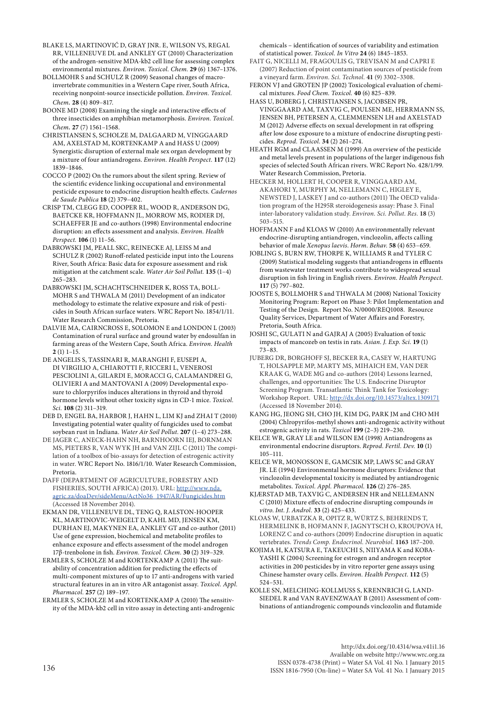- BLAKE LS, MARTINOVIĆ D, GRAY JNR. E, WILSON VS, REGAL RR, VILLENEUVE DL and ANKLEY GT (2010) Characterization of the androgen-sensitive MDA-kb2 cell line for assessing complex environmental mixtures. *Environ. Toxicol. Chem.* **29** (6) 1367–1376.
- [BOLLMOHR S](http://search.proquest.com.ez.sun.ac.za/indexinglinkhandler/sng/au/Bollmohr,+Silke/$N?accountid=14049) and [SCHULZ R](http://search.proquest.com.ez.sun.ac.za/indexinglinkhandler/sng/au/Schulz,+Ralf/$N?accountid=14049) (2009) Seasonal changes of macroinvertebrate communities in a Western Cape river, South Africa, receiving nonpoint-source insecticide pollution. *[Environ. Toxicol.](http://search.proquest.com.ez.sun.ac.za/pubidlinkhandler/sng/pubtitle/Environmental+Toxicology+and+Chemistry/$N/32741/DocView/210355509/fulltext/$B/1?accountid=14049)  [Chem](http://search.proquest.com.ez.sun.ac.za/pubidlinkhandler/sng/pubtitle/Environmental+Toxicology+and+Chemistry/$N/32741/DocView/210355509/fulltext/$B/1?accountid=14049).* **[28](http://search.proquest.com.ez.sun.ac.za/indexingvolumeissuelinkhandler/32741/Environmental+Toxicology+and+Chemistry/02009Y04Y01$23Apr+2009$3b++Vol.+28+$284$29/28/4?accountid=14049)** (4) 809–817.
- BOONE MD (2008) Examining the single and interactive effects of three insecticides on amphibian metamorphosis. *[Environ. Toxicol.](http://search.proquest.com.ez.sun.ac.za/pubidlinkhandler/sng/pubtitle/Environmental+Toxicology+and+Chemistry/$N/32741/DocView/210355509/fulltext/$B/1?accountid=14049)  [Chem](http://search.proquest.com.ez.sun.ac.za/pubidlinkhandler/sng/pubtitle/Environmental+Toxicology+and+Chemistry/$N/32741/DocView/210355509/fulltext/$B/1?accountid=14049).* **27** (7) 1561–1568.
- CHRISTIANSEN S, SCHOLZE M, DALGAARD M, VINGGAARD AM, AXELSTAD M, KORTENKAMP A and HASS U (2009) Synergistic disruption of external male sex organ development by a mixture of four antiandrogens. *Environ. Health Perspect.* **117** (12) 1839–1846.
- COCCO P (2002) On the rumors about the silent spring. Review of the scientific evidence linking occupational and environmental pesticide exposure to endocrine disruption health effects. *Cadernos de Saude Publica* **18** (2) 379–402.
- CRISP TM, CLEGG ED, COOPER RL, WOOD R, ANDERSON DG, BAETCKE KR, HOFFMANN JL, MORROW MS, RODIER DJ, SCHAEFFER JE and co-authors (1998) Environmental endocrine disruption: an effects assessment and analysis. *Environ. Health Perspect.* **106** (1) 11–56.
- DABROWSKI JM, PEALL SKC, REINECKE AJ, LEISS M and SCHULZ R (2002) Runoff-related pesticide input into the Lourens River, South Africa: Basic data for exposure assessment and risk mitigation at the catchment scale. *Water Air Soil Pollut.* **135** (1–4) 265–283.
- DABROWSKI JM, SCHACHTSCHNEIDER K, ROSS TA, BOLL-MOHR S and THWALA M (2011) Development of an indicator methodology to estimate the relative exposure and risk of pesticides in South African surface waters. WRC Report No. 1854/1/11. Water Research Commission, Pretoria.
- DALVIE MA, CAIRNCROSS E, SOLOMON E and LONDON L (2003) Contamination of rural surface and ground water by endosulfan in farming areas of the Western Cape, South Africa. *Environ. Health* **2** (1) 1–15.
- DE ANGELIS S, TASSINARI R, MARANGHI F, EUSEPI A, DI VIRGILIO A, CHIAROTTI F, RICCERI L, VENEROSI PESCIOLINI A, GILARDI E, MORACCI G, CALAMANDREI G, OLIVIERI A and MANTOVANI A (2009) Developmental exposure to chlorpyrifos induces alterations in thyroid and thyroid hormone levels without other toxicity signs in CD-1 mice. *Toxicol. Sci.* **108** (2) 311–319.
- DEB D, ENGEL BA, HARBOR J, HAHN L, LIM KJ and ZHAI T (2010) Investigating potential water quality of fungicides used to combat soybean rust in Indiana. *Water Air Soil Pollut.* **207** (1–4) 273–288.
- DE JAGER C, ANECK-HAHN NH, BARNHOORN IEJ, BORNMAN MS, PIETERS R, VAN WYK JH and VAN ZIJL C (2011) The compilation of a toolbox of bio-assays for detection of estrogenic activity in water. WRC Report No. 1816/1/10. Water Research Commission, Pretoria.
- DAFF (DEPARTMENT OF AGRICULTURE, FORESTRY AND FISHERIES, SOUTH AFRICA) (2013). URL: [http://www.nda.](http://www.nda.agric.za/doaDev/sideMenu/ActNo36_1947/AR/Fungicides.htm) [agric.za/doaDev/sideMenu/ActNo36\\_1947/AR/Fungicides.htm](http://www.nda.agric.za/doaDev/sideMenu/ActNo36_1947/AR/Fungicides.htm) (Accessed 18 November 2014).
- EKMAN DR, VILLENEUVE DL, TENG Q, RALSTON-HOOPER KL, MARTINOVIC-WEIGELT D, KAHL MD, JENSEN KM, DURHAN EJ, MAKYNEN EA, ANKLEY GT and co-author (2011) Use of gene expression, biochemical and metabolite profiles to enhance exposure and effects assessment of the model androgen 17β-trenbolone in fish. *Environ. Toxicol. Chem.* **30** (2) 319–329.
- ERMLER S, SCHOLZE M and KORTENKAMP A (2011) The suitability of concentration addition for predicting the effects of multi-component mixtures of up to 17 anti-androgens with varied structural features in an in vitro AR antagonist assay. *Toxicol. Appl. Pharmacol.* **257** (2) 189–197.
- ERMLER S, SCHOLZE M and KORTENKAMP A (2010) The sensitivity of the MDA-kb2 cell in vitro assay in detecting anti-androgenic

chemicals – identification of sources of variability and estimation of statistical power. *Toxicol. In Vitro* **24** (6) 1845–1853.

- FAIT G, NICELLI M, FRAGOULIS G, TREVISAN M and CAPRI E (2007) Reduction of point contamination sources of pesticide from a vineyard farm. *Environ. Sci. Technol.* **41** (9) 3302–3308.
- FERON VJ and GROTEN JP (2002) Toxicological evaluation of chemical mixtures. *Food Chem. Toxicol.* **40** (6) 825–839.
- HASS U, BOBERG J, CHRISTIANSEN S, JACOBSEN PR, VINGGAARD AM, TAXVIG C, POULSEN ME, HERRMANN SS, JENSEN BH, PETERSEN A, CLEMMENSEN LH and AXELSTAD M (2012) Adverse effects on sexual development in rat offspring after low dose exposure to a mixture of endocrine disrupting pesticides. *Reprod. Toxicol.* **34** (2) 261–274.
- HEATH RGM and CLAASSEN M (1999) An overview of the pesticide and metal levels present in populations of the larger indigenous fish species of selected South African rivers. WRC Report No. 428/1/99. Water Research Commission, Pretoria.
- HECKER M, HOLLERT H, COOPER R, VINGGAARD AM, AKAHORI Y, MURPHY M, NELLEMANN C, HIGLEY E, NEWSTED J, LASKEY J and co-authors (2011) The OECD validation program of the H295R steroidogenesis assay: Phase 3. Final inter-laboratory validation study. *Environ. Sci. Pollut. Res.* **18** (3) 503–515.
- HOFFMANN F and KLOAS W (2010) An environmentally relevant endocrine-disrupting antiandrogen, vinclozolin, affects calling behavior of male *Xenopus laevis*. *Horm. Behav.* **58** (4) 653–659.
- JOBLING S, BURN RW, THORPE K, WILLIAMS R and TYLER C (2009) Statistical modeling suggests that antiandrogens in effluents from wastewater treatment works contribute to widespread sexual disruption in fish living in English rivers. *Environ. Health Perspect.* **117** (5) 797–802.
- JOOSTE S, BOLLMOHR S and THWALA M (2008) National Toxicity Monitoring Program: Report on Phase 3: Pilot Implementation and Testing of the Design. Report No. N/0000/REQ1008. Resource Quality Services, Department of Water Affairs and Forestry, Pretoria, South Africa.
- JOSHI SC, GULATI N and GAJRAJ A (2005) Evaluation of toxic impacts of mancozeb on testis in rats. *Asian. J. Exp. Sci.* **19** (1) 73–83.
- JUBERG DR, BORGHOFF SJ, BECKER RA, CASEY W, HARTUNG T, HOLSAPPLE MP, MARTY MS, MIHAICH EM, VAN DER KRAAK G, WADE MG and co-authors (2014) Lessons learned, challenges, and opportunities: The U.S. Endocrine Disruptor Screening Program. Transatlantic Think Tank for Toxicology: Workshop Report. URL:<http://dx.doi.org/10.14573/altex.1309171> (Accessed 18 November 2014).
- KANG HG, JEONG SH, CHO JH, KIM DG, PARK JM and CHO MH (2004) Chlropyrifos-methyl shows anti-androgenic activity without estrogenic activity in rats. *Toxicol* **199** (2–3) 219–230.
- KELCE WR, GRAY LE and WILSON EM (1998) Antiandrogens as environmental endocrine disruptors. *Reprod. Fertil. Dev.* **10** (1) 105–111.
- KELCE WR, MONOSSON E, GAMCSIK MP, LAWS SC and GRAY JR. LE (1994) Environmental hormone disruptors: Evidence that vinclozolin developmental toxicity is mediated by antiandrogenic metabolites. *Toxicol. Appl. Pharmacol.* **126** (2) 276–285.
- KJÆRSTAD MB, TAXVIG C, ANDERSEN HR and NELLEMANN C (2010) Mixture effects of endocrine disrupting compounds *in vitro*. *Int. J. Androl.* **33** (2) 425–433.
- KLOAS W, URBATZKA R, OPITZ R, WÜRTZ S, BEHRENDS T, HERMELINK B, HOFMANN F, JAGNYTSCH O, KROUPOVA H, LORENZ C and co-authors (2009) Endocrine disruption in aquatic vertebrates. *Trends Comp. Endocrinol. Neurobiol.* **1163** 187–200.
- KOJIMA H, KATSURA E, TAKEUCHI S, NIIYAMA K and KOBA-YASHI K (2004) Screening for estrogen and androgen receptor activities in 200 pesticides by in vitro reporter gene assays using Chinese hamster ovary cells. *Environ. Health Perspect.* **112** (5) 524–531.
- KOLLE SN, MELCHING-KOLLMUSS S, KRENNRICH G, LAND-SIEDEL R and VAN RAVENZWAAY B (2011) Assessment of combinations of antiandrogenic compounds vinclozolin and flutamide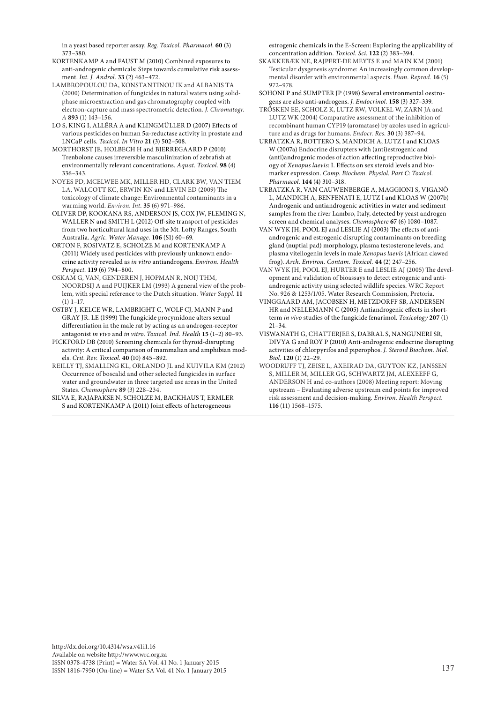in a yeast based reporter assay. *Reg. Toxicol. Pharmacol.* **60** (3) 373–380.

- KORTENKAMP A and FAUST M (2010) Combined exposures to anti-androgenic chemicals: Steps towards cumulative risk assessment. *Int. J. Androl.* **33** (2) 463–472.
- LAMBROPOULOU DA, KONSTANTINOU IK and ALBANIS TA (2000) Determination of fungicides in natural waters using solidphase microextraction and gas chromatography coupled with electron-capture and mass spectrometric detection*. J. Chromatogr. A* **893** (1) 143–156.
- LO S, KING I, ALLÉRA A and KLINGMÜLLER D (2007) Effects of various pesticides on human 5α-reductase activity in prostate and LNCaP cells. *Toxicol. In Vitro* **21** (3) 502–508.
- MORTHORST JE, HOLBECH H and BJERREGAARD P (2010) Trenbolone causes irreversible masculinization of zebrafish at environmentally relevant concentrations. *Aquat. Toxicol.* **98** (4) 336–343.
- NOYES PD, MCELWEE MK, MILLER HD, CLARK BW, VAN TIEM LA, WALCOTT KC, ERWIN KN and LEVIN ED (2009) The toxicology of climate change: Environmental contaminants in a warming world. *Environ. Int.* **35** (6) 971–986.
- OLIVER DP, KOOKANA RS, ANDERSON JS, COX JW, FLEMING N, WALLER N and SMITH L (2012) Off-site transport of pesticides from two horticultural land uses in the Mt. Lofty Ranges, South Australia. *Agric. Water Manage.* **106** (S1) 60–69.
- ORTON F, ROSIVATZ E, SCHOLZE M and KORTENKAMP A (2011) Widely used pesticides with previously unknown endocrine activity revealed as *in vitro* antiandrogens. *Environ. Health Perspect.* **119** (6) 794–800.
- OSKAM G, VAN, GENDEREN J, HOPMAN R, NOIJ THM, NOORDSIJ A and PUIJKER LM (1993) A general view of the problem, with special reference to the Dutch situation. *Water Suppl.* **11** (1) 1–17.
- OSTBY J, KELCE WR, LAMBRIGHT C, WOLF CJ, MANN P and GRAY JR. LE (1999) The fungicide procymidone alters sexual differentiation in the male rat by acting as an androgen-receptor antagonist *in vivo* and *in vitro*. *Toxicol. Ind. Health* **15** (1–2) 80–93.
- PICKFORD DB (2010) Screening chemicals for thyroid-disrupting activity: A critical comparison of mammalian and amphibian models. *Crit. Rev. Toxicol.* **40** (10) 845–892.
- REILLY TJ, SMALLING KL, ORLANDO JL and KUIVILA KM (2012) Occurrence of boscalid and other selected fungicides in surface water and groundwater in three targeted use areas in the United States. *Chemosphere* **89** (3) 228–234.
- SILVA E, RAJAPAKSE N, SCHOLZE M, BACKHAUS T, ERMLER S and KORTENKAMP A (2011) Joint effects of heterogeneous

estrogenic chemicals in the E-Screen: Exploring the applicability of concentration addition. *Toxicol. Sci.* **122** (2) 383–394.

- SKAKKEBÆK NE, RAJPERT-DE MEYTS E and MAIN KM (2001) Testicular dysgenesis syndrome: An increasingly common developmental disorder with environmental aspects. *Hum. Reprod.* **16** (5) 972–978.
- SOHONI P and SUMPTER JP (1998) Several environmental oestrogens are also anti-androgens. *J. Endocrinol.* **158** (3) 327–339.
- TRÖSKEN EE, SCHOLZ K, LUTZ RW, VOLKEL W, ZARN JA and LUTZ WK (2004) Comparative assessment of the inhibition of recombinant human CYP19 (aromatase) by azoles used in agriculture and as drugs for humans. *Endocr. Res.* **30** (3) 387–94.
- URBATZKA R, BOTTERO S, MANDICH A, LUTZ I and KLOAS W (2007a) Endocrine disrupters with (anti)estrogenic and (anti)androgenic modes of action affecting reproductive biology of *Xenopus laevis*: I. Effects on sex steroid levels and biomarker expression. *Comp. Biochem. Physiol. Part C: Toxicol. Pharmacol.* **144** (4) 310–318.
- URBATZKA R, VAN CAUWENBERGE A, MAGGIONI S, VIGANÒ L, MANDICH A, BENFENATI E, LUTZ I and KLOAS W (2007b) Androgenic and antiandrogenic activities in water and sediment samples from the river Lambro, Italy, detected by yeast androgen screen and chemical analyses. *Chemosphere* **67** (6) 1080–1087.
- VAN WYK JH, POOL EJ and LESLIE AJ (2003) The effects of antiandrogenic and estrogenic disrupting contaminants on breeding gland (nuptial pad) morphology, plasma testosterone levels, and plasma vitellogenin levels in male *Xenopus laevis* (African clawed frog). *Arch. Environ. Contam. Toxicol.* **44** (2) 247–256.
- VAN WYK JH, POOL EJ, HURTER E and LESLIE AJ (2005) The development and validation of bioassays to detect estrogenic and antiandrogenic activity using selected wildlife species. WRC Report No. 926 & 1253/1/05. Water Research Commission, Pretoria.
- VINGGAARD AM, JACOBSEN H, METZDORFF SB, ANDERSEN HR and NELLEMANN C (2005) Antiandrogenic effects in shortterm *in vivo* studies of the fungicide fenarimol. *Toxicology* **207** (1) 21–34.
- VISWANATH G, CHATTERJEE S, DABRAL S, NANGUNERI SR, DIVYA G and ROY P (2010) Anti-androgenic endocrine disrupting activities of chlorpyrifos and piperophos. *J. Steroid Biochem. Mol. Biol.* **120** (1) 22–29.
- WOODRUFF TJ, ZEISE L, AXEIRAD DA, GUYTON KZ, JANSSEN S, MILLER M, MILLER GG, SCHWARTZ JM, ALEXEEFF G, ANDERSON H and co-authors (2008) Meeting report: Moving upstream – Evaluating adverse upstream end points for improved risk assessment and decision-making. *Environ. Health Perspect.* **116** (11) 1568–1575.